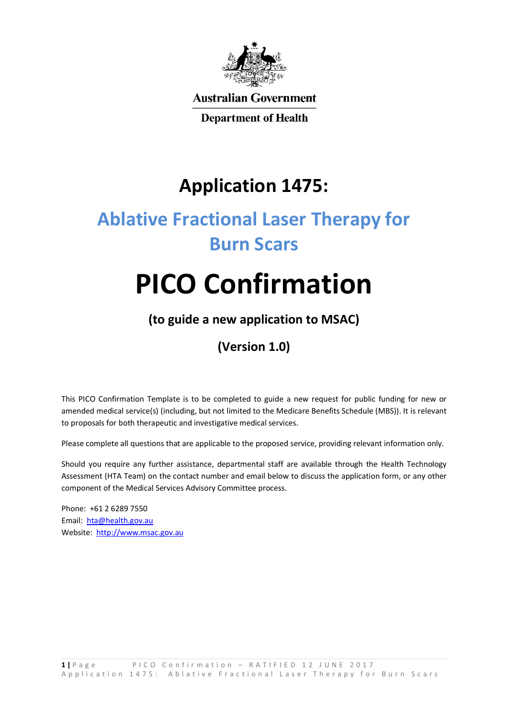

**Australian Government** 

**Department of Health** 

## **Application 1475:**

# **Ablative Fractional Laser Therapy for Burn Scars**

# **PICO Confirmation**

## **(to guide a new application to MSAC)**

## **(Version 1.0)**

This PICO Confirmation Template is to be completed to guide a new request for public funding for new or amended medical service(s) (including, but not limited to the Medicare Benefits Schedule (MBS)). It is relevant to proposals for both therapeutic and investigative medical services.

Please complete all questions that are applicable to the proposed service, providing relevant information only.

Should you require any further assistance, departmental staff are available through the Health Technology Assessment (HTA Team) on the contact number and email below to discuss the application form, or any other component of the Medical Services Advisory Committee process.

Phone: +61 2 6289 7550 Email: hta@health.gov.au Website: http://www.msac.gov.au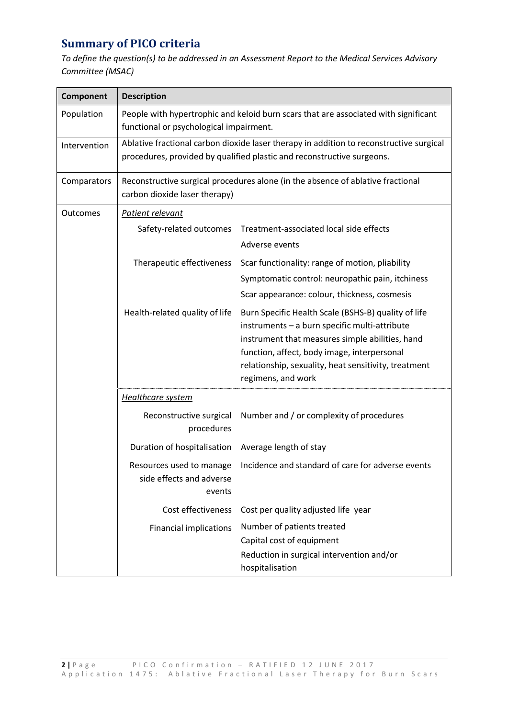## **Summary of PICO criteria**

*To define the question(s) to be addressed in an Assessment Report to the Medical Services Advisory Committee (MSAC)* 

| <b>Description</b>                                                                                                                                                |                                                                                                                                                                                                                                                                                      |  |
|-------------------------------------------------------------------------------------------------------------------------------------------------------------------|--------------------------------------------------------------------------------------------------------------------------------------------------------------------------------------------------------------------------------------------------------------------------------------|--|
| People with hypertrophic and keloid burn scars that are associated with significant<br>functional or psychological impairment.                                    |                                                                                                                                                                                                                                                                                      |  |
| Ablative fractional carbon dioxide laser therapy in addition to reconstructive surgical<br>procedures, provided by qualified plastic and reconstructive surgeons. |                                                                                                                                                                                                                                                                                      |  |
| Reconstructive surgical procedures alone (in the absence of ablative fractional<br>carbon dioxide laser therapy)                                                  |                                                                                                                                                                                                                                                                                      |  |
| Patient relevant                                                                                                                                                  |                                                                                                                                                                                                                                                                                      |  |
| Safety-related outcomes                                                                                                                                           | Treatment-associated local side effects<br>Adverse events                                                                                                                                                                                                                            |  |
| Therapeutic effectiveness                                                                                                                                         | Scar functionality: range of motion, pliability<br>Symptomatic control: neuropathic pain, itchiness<br>Scar appearance: colour, thickness, cosmesis                                                                                                                                  |  |
| Health-related quality of life                                                                                                                                    | Burn Specific Health Scale (BSHS-B) quality of life<br>instruments - a burn specific multi-attribute<br>instrument that measures simple abilities, hand<br>function, affect, body image, interpersonal<br>relationship, sexuality, heat sensitivity, treatment<br>regimens, and work |  |
| <b>Healthcare system</b>                                                                                                                                          |                                                                                                                                                                                                                                                                                      |  |
| Reconstructive surgical<br>procedures                                                                                                                             | Number and / or complexity of procedures                                                                                                                                                                                                                                             |  |
| Duration of hospitalisation                                                                                                                                       | Average length of stay                                                                                                                                                                                                                                                               |  |
| Resources used to manage<br>side effects and adverse<br>events                                                                                                    | Incidence and standard of care for adverse events                                                                                                                                                                                                                                    |  |
| Cost effectiveness                                                                                                                                                | Cost per quality adjusted life year                                                                                                                                                                                                                                                  |  |
| <b>Financial implications</b>                                                                                                                                     | Number of patients treated                                                                                                                                                                                                                                                           |  |
|                                                                                                                                                                   | Capital cost of equipment                                                                                                                                                                                                                                                            |  |
|                                                                                                                                                                   | Reduction in surgical intervention and/or<br>hospitalisation                                                                                                                                                                                                                         |  |
|                                                                                                                                                                   |                                                                                                                                                                                                                                                                                      |  |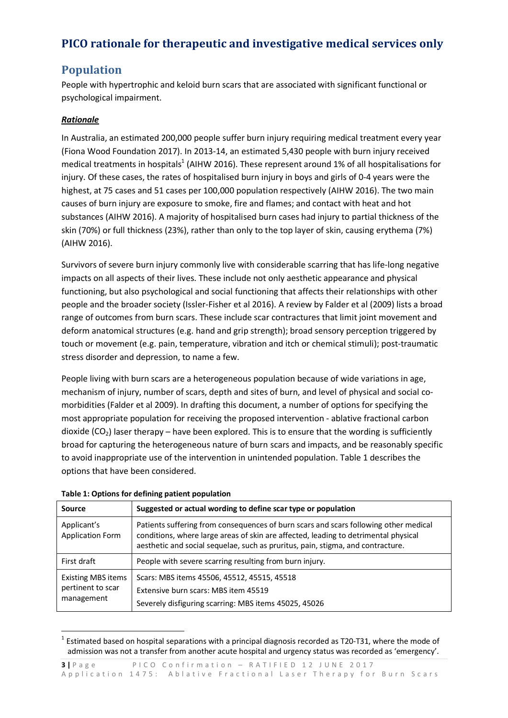## **PICO rationale for therapeutic and investigative medical services only**

## **Population**

People with hypertrophic and keloid burn scars that are associated with significant functional or psychological impairment.

#### *Rationale*

In Australia, an estimated 200,000 people suffer burn injury requiring medical treatment every year (Fiona Wood Foundation 2017). In 2013-14, an estimated 5,430 people with burn injury received medical treatments in hospitals<sup>1</sup> (AIHW 2016). These represent around 1% of all hospitalisations for injury. Of these cases, the rates of hospitalised burn injury in boys and girls of 0-4 years were the highest, at 75 cases and 51 cases per 100,000 population respectively (AIHW 2016). The two main causes of burn injury are exposure to smoke, fire and flames; and contact with heat and hot substances (AIHW 2016). A majority of hospitalised burn cases had injury to partial thickness of the skin (70%) or full thickness (23%), rather than only to the top layer of skin, causing erythema (7%) (AIHW 2016).

Survivors of severe burn injury commonly live with considerable scarring that has life-long negative impacts on all aspects of their lives. These include not only aesthetic appearance and physical functioning, but also psychological and social functioning that affects their relationships with other people and the broader society (Issler-Fisher et al 2016). A review by Falder et al (2009) lists a broad range of outcomes from burn scars. These include scar contractures that limit joint movement and deform anatomical structures (e.g. hand and grip strength); broad sensory perception triggered by touch or movement (e.g. pain, temperature, vibration and itch or chemical stimuli); post-traumatic stress disorder and depression, to name a few.

People living with burn scars are a heterogeneous population because of wide variations in age, mechanism of injury, number of scars, depth and sites of burn, and level of physical and social comorbidities (Falder et al 2009). In drafting this document, a number of options for specifying the most appropriate population for receiving the proposed intervention - ablative fractional carbon dioxide  $(CO_2)$  laser therapy – have been explored. This is to ensure that the wording is sufficiently broad for capturing the heterogeneous nature of burn scars and impacts, and be reasonably specific to avoid inappropriate use of the intervention in unintended population. Table 1 describes the options that have been considered.

| Source                                                       | Suggested or actual wording to define scar type or population                                                                                                                                                                                                  |
|--------------------------------------------------------------|----------------------------------------------------------------------------------------------------------------------------------------------------------------------------------------------------------------------------------------------------------------|
| Applicant's<br>Application Form                              | Patients suffering from consequences of burn scars and scars following other medical<br>conditions, where large areas of skin are affected, leading to detrimental physical<br>aesthetic and social sequelae, such as pruritus, pain, stigma, and contracture. |
| First draft                                                  | People with severe scarring resulting from burn injury.                                                                                                                                                                                                        |
| <b>Existing MBS items</b><br>pertinent to scar<br>management | Scars: MBS items 45506, 45512, 45515, 45518<br>Extensive burn scars: MBS item 45519<br>Severely disfiguring scarring: MBS items 45025, 45026                                                                                                                   |

#### **Table 1: Options for defining patient population**

<sup>1</sup> 1 Estimated based on hospital separations with a principal diagnosis recorded as T20-T31, where the mode of admission was not a transfer from another acute hospital and urgency status was recorded as 'emergency'.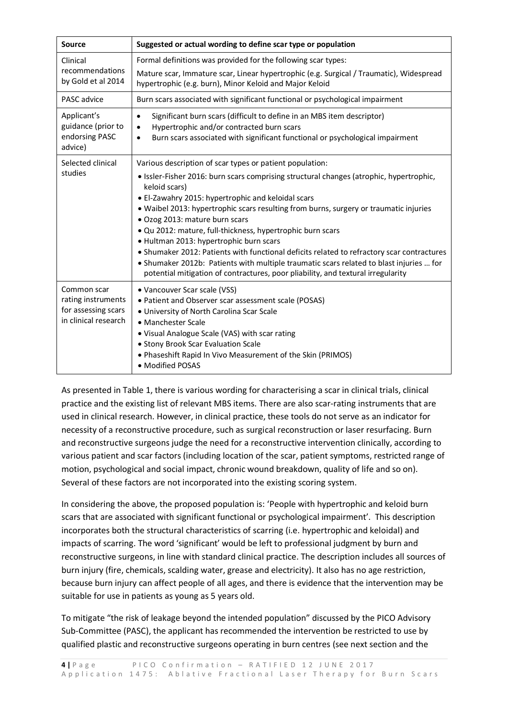| <b>Source</b>                                                                    | Suggested or actual wording to define scar type or population                                                                                                                                                                                                                                                                                                                                                                                                                                                                                                                                                                                                                   |
|----------------------------------------------------------------------------------|---------------------------------------------------------------------------------------------------------------------------------------------------------------------------------------------------------------------------------------------------------------------------------------------------------------------------------------------------------------------------------------------------------------------------------------------------------------------------------------------------------------------------------------------------------------------------------------------------------------------------------------------------------------------------------|
| Clinical<br>recommendations<br>by Gold et al 2014                                | Formal definitions was provided for the following scar types:<br>Mature scar, Immature scar, Linear hypertrophic (e.g. Surgical / Traumatic), Widespread<br>hypertrophic (e.g. burn), Minor Keloid and Major Keloid                                                                                                                                                                                                                                                                                                                                                                                                                                                             |
| PASC advice                                                                      | Burn scars associated with significant functional or psychological impairment                                                                                                                                                                                                                                                                                                                                                                                                                                                                                                                                                                                                   |
| Applicant's<br>guidance (prior to<br>endorsing PASC<br>advice)                   | Significant burn scars (difficult to define in an MBS item descriptor)<br>$\bullet$<br>Hypertrophic and/or contracted burn scars<br>$\bullet$<br>Burn scars associated with significant functional or psychological impairment<br>$\bullet$                                                                                                                                                                                                                                                                                                                                                                                                                                     |
| Selected clinical                                                                | Various description of scar types or patient population:                                                                                                                                                                                                                                                                                                                                                                                                                                                                                                                                                                                                                        |
| studies                                                                          | · Issler-Fisher 2016: burn scars comprising structural changes (atrophic, hypertrophic,<br>keloid scars)<br>• El-Zawahry 2015: hypertrophic and keloidal scars<br>. Waibel 2013: hypertrophic scars resulting from burns, surgery or traumatic injuries<br>· Ozog 2013: mature burn scars<br>· Qu 2012: mature, full-thickness, hypertrophic burn scars<br>· Hultman 2013: hypertrophic burn scars<br>• Shumaker 2012: Patients with functional deficits related to refractory scar contractures<br>• Shumaker 2012b: Patients with multiple traumatic scars related to blast injuries  for<br>potential mitigation of contractures, poor pliability, and textural irregularity |
| Common scar<br>rating instruments<br>for assessing scars<br>in clinical research | • Vancouver Scar scale (VSS)<br>• Patient and Observer scar assessment scale (POSAS)<br>. University of North Carolina Scar Scale<br>• Manchester Scale<br>• Visual Analogue Scale (VAS) with scar rating<br>• Stony Brook Scar Evaluation Scale<br>• Phaseshift Rapid In Vivo Measurement of the Skin (PRIMOS)<br>· Modified POSAS                                                                                                                                                                                                                                                                                                                                             |

As presented in Table 1, there is various wording for characterising a scar in clinical trials, clinical practice and the existing list of relevant MBS items. There are also scar-rating instruments that are used in clinical research. However, in clinical practice, these tools do not serve as an indicator for necessity of a reconstructive procedure, such as surgical reconstruction or laser resurfacing. Burn and reconstructive surgeons judge the need for a reconstructive intervention clinically, according to various patient and scar factors (including location of the scar, patient symptoms, restricted range of motion, psychological and social impact, chronic wound breakdown, quality of life and so on). Several of these factors are not incorporated into the existing scoring system.

In considering the above, the proposed population is: 'People with hypertrophic and keloid burn scars that are associated with significant functional or psychological impairment'. This description incorporates both the structural characteristics of scarring (i.e. hypertrophic and keloidal) and impacts of scarring. The word 'significant' would be left to professional judgment by burn and reconstructive surgeons, in line with standard clinical practice. The description includes all sources of burn injury (fire, chemicals, scalding water, grease and electricity). It also has no age restriction, because burn injury can affect people of all ages, and there is evidence that the intervention may be suitable for use in patients as young as 5 years old.

To mitigate "the risk of leakage beyond the intended population" discussed by the PICO Advisory Sub-Committee (PASC), the applicant has recommended the intervention be restricted to use by qualified plastic and reconstructive surgeons operating in burn centres (see next section and the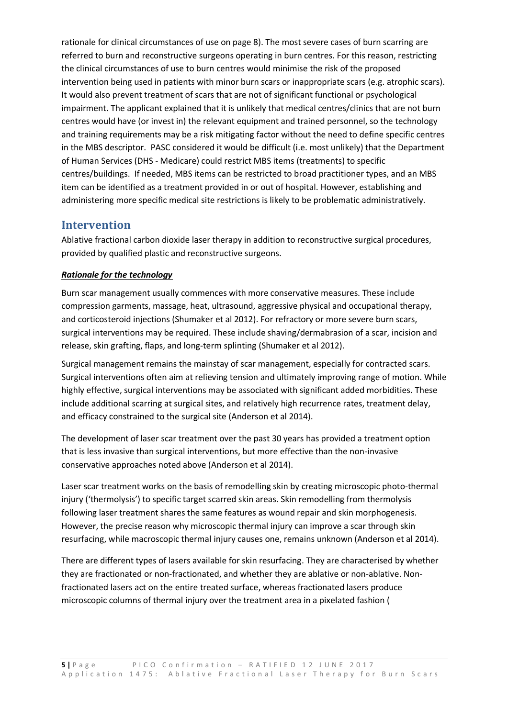rationale for clinical circumstances of use on page 8). The most severe cases of burn scarring are referred to burn and reconstructive surgeons operating in burn centres. For this reason, restricting the clinical circumstances of use to burn centres would minimise the risk of the proposed intervention being used in patients with minor burn scars or inappropriate scars (e.g. atrophic scars). It would also prevent treatment of scars that are not of significant functional or psychological impairment. The applicant explained that it is unlikely that medical centres/clinics that are not burn centres would have (or invest in) the relevant equipment and trained personnel, so the technology and training requirements may be a risk mitigating factor without the need to define specific centres in the MBS descriptor. PASC considered it would be difficult (i.e. most unlikely) that the Department of Human Services (DHS - Medicare) could restrict MBS items (treatments) to specific centres/buildings. If needed, MBS items can be restricted to broad practitioner types, and an MBS item can be identified as a treatment provided in or out of hospital. However, establishing and administering more specific medical site restrictions is likely to be problematic administratively.

#### **Intervention**

Ablative fractional carbon dioxide laser therapy in addition to reconstructive surgical procedures, provided by qualified plastic and reconstructive surgeons.

#### *Rationale for the technology*

Burn scar management usually commences with more conservative measures. These include compression garments, massage, heat, ultrasound, aggressive physical and occupational therapy, and corticosteroid injections (Shumaker et al 2012). For refractory or more severe burn scars, surgical interventions may be required. These include shaving/dermabrasion of a scar, incision and release, skin grafting, flaps, and long-term splinting (Shumaker et al 2012).

Surgical management remains the mainstay of scar management, especially for contracted scars. Surgical interventions often aim at relieving tension and ultimately improving range of motion. While highly effective, surgical interventions may be associated with significant added morbidities. These include additional scarring at surgical sites, and relatively high recurrence rates, treatment delay, and efficacy constrained to the surgical site (Anderson et al 2014).

The development of laser scar treatment over the past 30 years has provided a treatment option that is less invasive than surgical interventions, but more effective than the non-invasive conservative approaches noted above (Anderson et al 2014).

Laser scar treatment works on the basis of remodelling skin by creating microscopic photo-thermal injury ('thermolysis') to specific target scarred skin areas. Skin remodelling from thermolysis following laser treatment shares the same features as wound repair and skin morphogenesis. However, the precise reason why microscopic thermal injury can improve a scar through skin resurfacing, while macroscopic thermal injury causes one, remains unknown (Anderson et al 2014).

There are different types of lasers available for skin resurfacing. They are characterised by whether they are fractionated or non-fractionated, and whether they are ablative or non-ablative. Nonfractionated lasers act on the entire treated surface, whereas fractionated lasers produce microscopic columns of thermal injury over the treatment area in a pixelated fashion (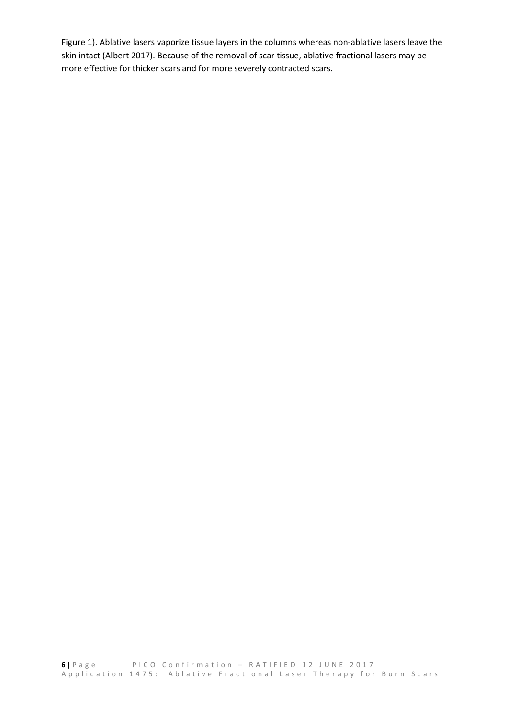Figure 1). Ablative lasers vaporize tissue layers in the columns whereas non-ablative lasers leave the skin intact (Albert 2017). Because of the removal of scar tissue, ablative fractional lasers may be more effective for thicker scars and for more severely contracted scars.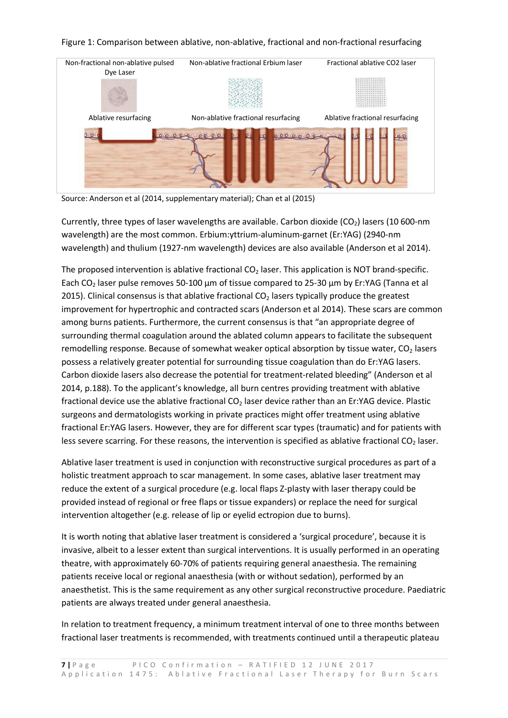#### Figure 1: Comparison between ablative, non-ablative, fractional and non-fractional resurfacing



Source: Anderson et al (2014, supplementary material); Chan et al (2015)

Currently, three types of laser wavelengths are available. Carbon dioxide  $(CO<sub>2</sub>)$  lasers (10 600-nm wavelength) are the most common. Erbium:yttrium-aluminum-garnet (Er:YAG) (2940-nm wavelength) and thulium (1927-nm wavelength) devices are also available (Anderson et al 2014).

The proposed intervention is ablative fractional  $CO<sub>2</sub>$  laser. This application is NOT brand-specific. Each CO2 laser pulse removes 50-100 µm of tissue compared to 25-30 µm by Er:YAG (Tanna et al 2015). Clinical consensus is that ablative fractional  $CO<sub>2</sub>$  lasers typically produce the greatest improvement for hypertrophic and contracted scars (Anderson et al 2014). These scars are common among burns patients. Furthermore, the current consensus is that "an appropriate degree of surrounding thermal coagulation around the ablated column appears to facilitate the subsequent remodelling response. Because of somewhat weaker optical absorption by tissue water,  $CO<sub>2</sub>$  lasers possess a relatively greater potential for surrounding tissue coagulation than do Er:YAG lasers. Carbon dioxide lasers also decrease the potential for treatment-related bleeding" (Anderson et al 2014, p.188). To the applicant's knowledge, all burn centres providing treatment with ablative fractional device use the ablative fractional  $CO<sub>2</sub>$  laser device rather than an Er:YAG device. Plastic surgeons and dermatologists working in private practices might offer treatment using ablative fractional Er:YAG lasers. However, they are for different scar types (traumatic) and for patients with less severe scarring. For these reasons, the intervention is specified as ablative fractional  $CO<sub>2</sub>$  laser.

Ablative laser treatment is used in conjunction with reconstructive surgical procedures as part of a holistic treatment approach to scar management. In some cases, ablative laser treatment may reduce the extent of a surgical procedure (e.g. local flaps Z-plasty with laser therapy could be provided instead of regional or free flaps or tissue expanders) or replace the need for surgical intervention altogether (e.g. release of lip or eyelid ectropion due to burns).

It is worth noting that ablative laser treatment is considered a 'surgical procedure', because it is invasive, albeit to a lesser extent than surgical interventions. It is usually performed in an operating theatre, with approximately 60-70% of patients requiring general anaesthesia. The remaining patients receive local or regional anaesthesia (with or without sedation), performed by an anaesthetist. This is the same requirement as any other surgical reconstructive procedure. Paediatric patients are always treated under general anaesthesia.

In relation to treatment frequency, a minimum treatment interval of one to three months between fractional laser treatments is recommended, with treatments continued until a therapeutic plateau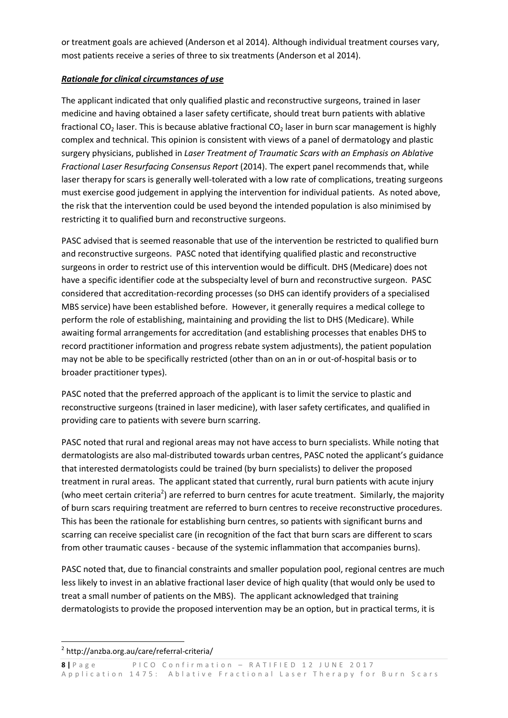or treatment goals are achieved (Anderson et al 2014). Although individual treatment courses vary, most patients receive a series of three to six treatments (Anderson et al 2014).

#### *Rationale for clinical circumstances of use*

The applicant indicated that only qualified plastic and reconstructive surgeons, trained in laser medicine and having obtained a laser safety certificate, should treat burn patients with ablative fractional CO<sub>2</sub> laser. This is because ablative fractional CO<sub>2</sub> laser in burn scar management is highly complex and technical. This opinion is consistent with views of a panel of dermatology and plastic surgery physicians, published in *Laser Treatment of Traumatic Scars with an Emphasis on Ablative Fractional Laser Resurfacing Consensus Report* (2014). The expert panel recommends that, while laser therapy for scars is generally well-tolerated with a low rate of complications, treating surgeons must exercise good judgement in applying the intervention for individual patients. As noted above, the risk that the intervention could be used beyond the intended population is also minimised by restricting it to qualified burn and reconstructive surgeons.

PASC advised that is seemed reasonable that use of the intervention be restricted to qualified burn and reconstructive surgeons. PASC noted that identifying qualified plastic and reconstructive surgeons in order to restrict use of this intervention would be difficult. DHS (Medicare) does not have a specific identifier code at the subspecialty level of burn and reconstructive surgeon. PASC considered that accreditation-recording processes (so DHS can identify providers of a specialised MBS service) have been established before. However, it generally requires a medical college to perform the role of establishing, maintaining and providing the list to DHS (Medicare). While awaiting formal arrangements for accreditation (and establishing processes that enables DHS to record practitioner information and progress rebate system adjustments), the patient population may not be able to be specifically restricted (other than on an in or out-of-hospital basis or to broader practitioner types).

PASC noted that the preferred approach of the applicant is to limit the service to plastic and reconstructive surgeons (trained in laser medicine), with laser safety certificates, and qualified in providing care to patients with severe burn scarring.

PASC noted that rural and regional areas may not have access to burn specialists. While noting that dermatologists are also mal-distributed towards urban centres, PASC noted the applicant's guidance that interested dermatologists could be trained (by burn specialists) to deliver the proposed treatment in rural areas. The applicant stated that currently, rural burn patients with acute injury (who meet certain criteria<sup>2</sup>) are referred to burn centres for acute treatment. Similarly, the majority of burn scars requiring treatment are referred to burn centres to receive reconstructive procedures. This has been the rationale for establishing burn centres, so patients with significant burns and scarring can receive specialist care (in recognition of the fact that burn scars are different to scars from other traumatic causes - because of the systemic inflammation that accompanies burns).

PASC noted that, due to financial constraints and smaller population pool, regional centres are much less likely to invest in an ablative fractional laser device of high quality (that would only be used to treat a small number of patients on the MBS). The applicant acknowledged that training dermatologists to provide the proposed intervention may be an option, but in practical terms, it is

<sup>1</sup> 2 http://anzba.org.au/care/referral-criteria/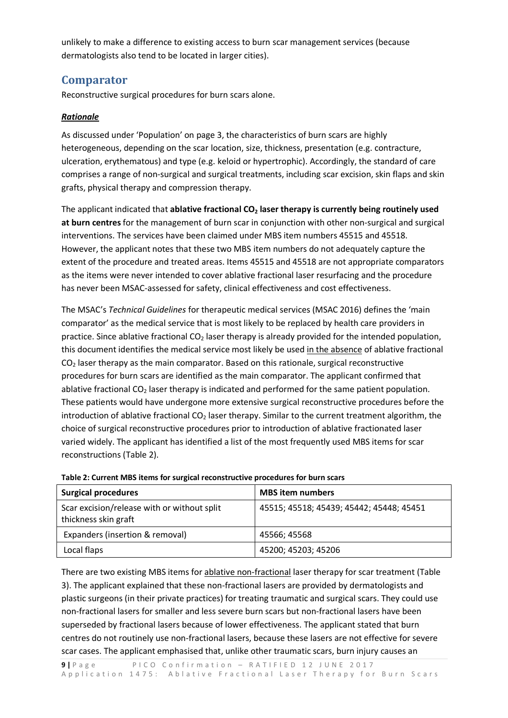unlikely to make a difference to existing access to burn scar management services (because dermatologists also tend to be located in larger cities).

#### **Comparator**

Reconstructive surgical procedures for burn scars alone.

#### *Rationale*

As discussed under 'Population' on page 3, the characteristics of burn scars are highly heterogeneous, depending on the scar location, size, thickness, presentation (e.g. contracture, ulceration, erythematous) and type (e.g. keloid or hypertrophic). Accordingly, the standard of care comprises a range of non-surgical and surgical treatments, including scar excision, skin flaps and skin grafts, physical therapy and compression therapy.

The applicant indicated that **ablative fractional CO<sub>2</sub> laser therapy is currently being routinely used at burn centres** for the management of burn scar in conjunction with other non-surgical and surgical interventions. The services have been claimed under MBS item numbers 45515 and 45518. However, the applicant notes that these two MBS item numbers do not adequately capture the extent of the procedure and treated areas. Items 45515 and 45518 are not appropriate comparators as the items were never intended to cover ablative fractional laser resurfacing and the procedure has never been MSAC-assessed for safety, clinical effectiveness and cost effectiveness.

The MSAC's *Technical Guidelines* for therapeutic medical services (MSAC 2016) defines the 'main comparator' as the medical service that is most likely to be replaced by health care providers in practice. Since ablative fractional CO<sub>2</sub> laser therapy is already provided for the intended population, this document identifies the medical service most likely be used in the absence of ablative fractional  $CO<sub>2</sub>$  laser therapy as the main comparator. Based on this rationale, surgical reconstructive procedures for burn scars are identified as the main comparator. The applicant confirmed that ablative fractional  $CO<sub>2</sub>$  laser therapy is indicated and performed for the same patient population. These patients would have undergone more extensive surgical reconstructive procedures before the introduction of ablative fractional  $CO<sub>2</sub>$  laser therapy. Similar to the current treatment algorithm, the choice of surgical reconstructive procedures prior to introduction of ablative fractionated laser varied widely. The applicant has identified a list of the most frequently used MBS items for scar reconstructions (Table 2).

| <b>Surgical procedures</b>                                          | <b>MBS</b> item numbers                  |
|---------------------------------------------------------------------|------------------------------------------|
| Scar excision/release with or without split<br>thickness skin graft | 45515; 45518; 45439; 45442; 45448; 45451 |
| Expanders (insertion & removal)                                     | 45566; 45568                             |
| Local flaps                                                         | 45200; 45203; 45206                      |

| Table 2: Current MBS items for surgical reconstructive procedures for burn scars |  |
|----------------------------------------------------------------------------------|--|
|----------------------------------------------------------------------------------|--|

There are two existing MBS items for ablative non-fractional laser therapy for scar treatment (Table 3). The applicant explained that these non-fractional lasers are provided by dermatologists and plastic surgeons (in their private practices) for treating traumatic and surgical scars. They could use non-fractional lasers for smaller and less severe burn scars but non-fractional lasers have been superseded by fractional lasers because of lower effectiveness. The applicant stated that burn centres do not routinely use non-fractional lasers, because these lasers are not effective for severe scar cases. The applicant emphasised that, unlike other traumatic scars, burn injury causes an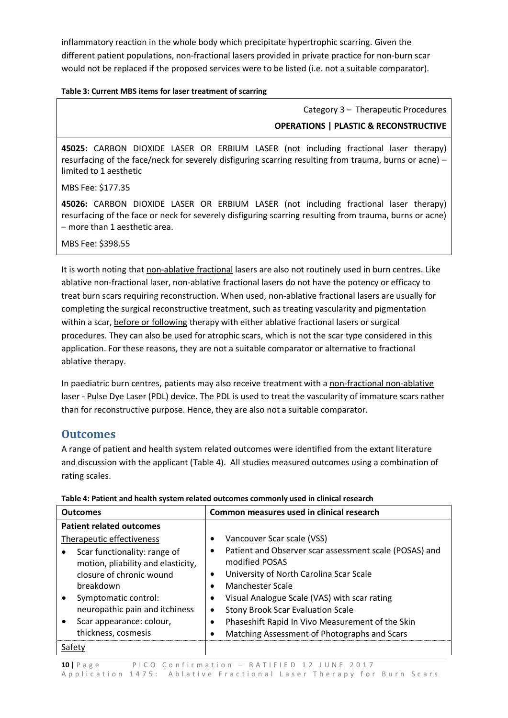inflammatory reaction in the whole body which precipitate hypertrophic scarring. Given the different patient populations, non-fractional lasers provided in private practice for non-burn scar would not be replaced if the proposed services were to be listed (i.e. not a suitable comparator).

#### **Table 3: Current MBS items for laser treatment of scarring**

Category 3 – Therapeutic Procedures **OPERATIONS | PLASTIC & RECONSTRUCTIVE**

**45025:** CARBON DIOXIDE LASER OR ERBIUM LASER (not including fractional laser therapy) resurfacing of the face/neck for severely disfiguring scarring resulting from trauma, burns or acne) – limited to 1 aesthetic

MBS Fee: \$177.35

**45026:** CARBON DIOXIDE LASER OR ERBIUM LASER (not including fractional laser therapy) resurfacing of the face or neck for severely disfiguring scarring resulting from trauma, burns or acne) – more than 1 aesthetic area.

MBS Fee: \$398.55

It is worth noting that non-ablative fractional lasers are also not routinely used in burn centres. Like ablative non-fractional laser, non-ablative fractional lasers do not have the potency or efficacy to treat burn scars requiring reconstruction. When used, non-ablative fractional lasers are usually for completing the surgical reconstructive treatment, such as treating vascularity and pigmentation within a scar, before or following therapy with either ablative fractional lasers or surgical procedures. They can also be used for atrophic scars, which is not the scar type considered in this application. For these reasons, they are not a suitable comparator or alternative to fractional ablative therapy.

In paediatric burn centres, patients may also receive treatment with a non-fractional non-ablative laser - Pulse Dye Laser (PDL) device. The PDL is used to treat the vascularity of immature scars rather than for reconstructive purpose. Hence, they are also not a suitable comparator.

#### **Outcomes**

A range of patient and health system related outcomes were identified from the extant literature and discussion with the applicant (Table 4). All studies measured outcomes using a combination of rating scales.

| <b>Outcomes</b>                                                                                                                                                                                                                                       | Common measures used in clinical research                                                                                                                                                                                                                                                                                                                                                                         |
|-------------------------------------------------------------------------------------------------------------------------------------------------------------------------------------------------------------------------------------------------------|-------------------------------------------------------------------------------------------------------------------------------------------------------------------------------------------------------------------------------------------------------------------------------------------------------------------------------------------------------------------------------------------------------------------|
| <b>Patient related outcomes</b>                                                                                                                                                                                                                       |                                                                                                                                                                                                                                                                                                                                                                                                                   |
| Therapeutic effectiveness<br>Scar functionality: range of<br>motion, pliability and elasticity,<br>closure of chronic wound<br>breakdown<br>Symptomatic control:<br>neuropathic pain and itchiness<br>Scar appearance: colour,<br>thickness, cosmesis | Vancouver Scar scale (VSS)<br>Patient and Observer scar assessment scale (POSAS) and<br>$\bullet$<br>modified POSAS<br>University of North Carolina Scar Scale<br>$\bullet$<br>Manchester Scale<br>Visual Analogue Scale (VAS) with scar rating<br><b>Stony Brook Scar Evaluation Scale</b><br>٠<br>Phaseshift Rapid In Vivo Measurement of the Skin<br>$\bullet$<br>Matching Assessment of Photographs and Scars |
| Satetv                                                                                                                                                                                                                                                |                                                                                                                                                                                                                                                                                                                                                                                                                   |

| Table 4: Patient and health system related outcomes commonly used in clinical research |  |  |
|----------------------------------------------------------------------------------------|--|--|
|                                                                                        |  |  |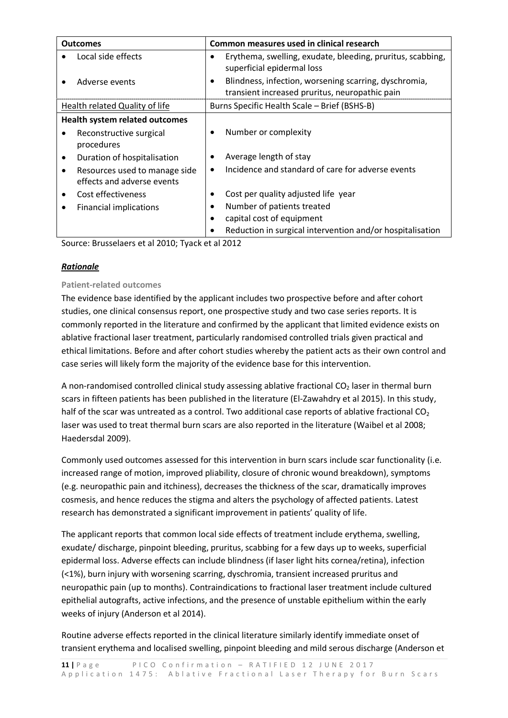| <b>Outcomes</b>                          | Common measures used in clinical research                      |
|------------------------------------------|----------------------------------------------------------------|
| Local side effects                       | Erythema, swelling, exudate, bleeding, pruritus, scabbing,     |
|                                          | superficial epidermal loss                                     |
| Adverse events                           | Blindness, infection, worsening scarring, dyschromia,<br>٠     |
|                                          | transient increased pruritus, neuropathic pain                 |
| Health related Quality of life           | Burns Specific Health Scale - Brief (BSHS-B)                   |
| <b>Health system related outcomes</b>    |                                                                |
| Reconstructive surgical<br>٠             | Number or complexity                                           |
| procedures                               |                                                                |
| Duration of hospitalisation<br>$\bullet$ | Average length of stay<br>$\bullet$                            |
| Resources used to manage side<br>٠       | Incidence and standard of care for adverse events<br>$\bullet$ |
| effects and adverse events               |                                                                |
| Cost effectiveness                       | Cost per quality adjusted life year<br>٠                       |
| <b>Financial implications</b><br>٠       | Number of patients treated<br>٠                                |
|                                          | capital cost of equipment                                      |
|                                          | Reduction in surgical intervention and/or hospitalisation      |

Source: Brusselaers et al 2010; Tyack et al 2012

#### *Rationale*

#### **Patient-related outcomes**

The evidence base identified by the applicant includes two prospective before and after cohort studies, one clinical consensus report, one prospective study and two case series reports. It is commonly reported in the literature and confirmed by the applicant that limited evidence exists on ablative fractional laser treatment, particularly randomised controlled trials given practical and ethical limitations. Before and after cohort studies whereby the patient acts as their own control and case series will likely form the majority of the evidence base for this intervention.

A non-randomised controlled clinical study assessing ablative fractional  $CO<sub>2</sub>$  laser in thermal burn scars in fifteen patients has been published in the literature (El-Zawahdry et al 2015). In this study, half of the scar was untreated as a control. Two additional case reports of ablative fractional  $CO<sub>2</sub>$ laser was used to treat thermal burn scars are also reported in the literature (Waibel et al 2008; Haedersdal 2009).

Commonly used outcomes assessed for this intervention in burn scars include scar functionality (i.e. increased range of motion, improved pliability, closure of chronic wound breakdown), symptoms (e.g. neuropathic pain and itchiness), decreases the thickness of the scar, dramatically improves cosmesis, and hence reduces the stigma and alters the psychology of affected patients. Latest research has demonstrated a significant improvement in patients' quality of life.

The applicant reports that common local side effects of treatment include erythema, swelling, exudate/ discharge, pinpoint bleeding, pruritus, scabbing for a few days up to weeks, superficial epidermal loss. Adverse effects can include blindness (if laser light hits cornea/retina), infection (<1%), burn injury with worsening scarring, dyschromia, transient increased pruritus and neuropathic pain (up to months). Contraindications to fractional laser treatment include cultured epithelial autografts, active infections, and the presence of unstable epithelium within the early weeks of injury (Anderson et al 2014).

Routine adverse effects reported in the clinical literature similarly identify immediate onset of transient erythema and localised swelling, pinpoint bleeding and mild serous discharge (Anderson et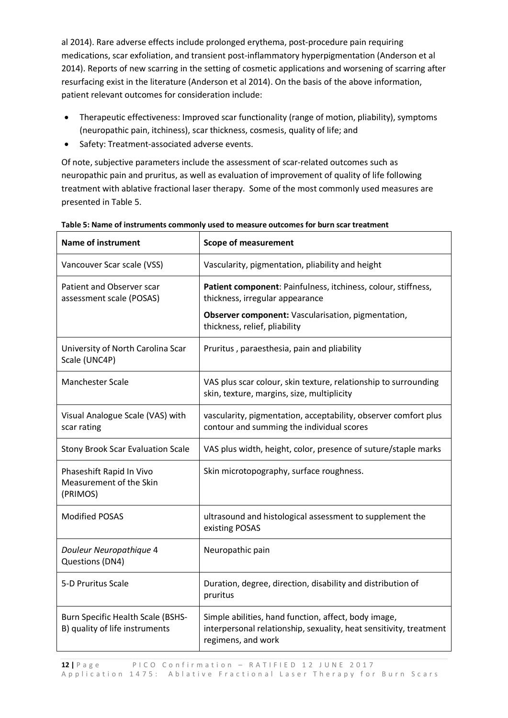al 2014). Rare adverse effects include prolonged erythema, post-procedure pain requiring medications, scar exfoliation, and transient post-inflammatory hyperpigmentation (Anderson et al 2014). Reports of new scarring in the setting of cosmetic applications and worsening of scarring after resurfacing exist in the literature (Anderson et al 2014). On the basis of the above information, patient relevant outcomes for consideration include:

- Therapeutic effectiveness: Improved scar functionality (range of motion, pliability), symptoms (neuropathic pain, itchiness), scar thickness, cosmesis, quality of life; and
- Safety: Treatment-associated adverse events.

Of note, subjective parameters include the assessment of scar-related outcomes such as neuropathic pain and pruritus, as well as evaluation of improvement of quality of life following treatment with ablative fractional laser therapy. Some of the most commonly used measures are presented in Table 5.

| <b>Name of instrument</b>                                                  | <b>Scope of measurement</b>                                                                                                                      |
|----------------------------------------------------------------------------|--------------------------------------------------------------------------------------------------------------------------------------------------|
| Vancouver Scar scale (VSS)                                                 | Vascularity, pigmentation, pliability and height                                                                                                 |
| Patient and Observer scar<br>assessment scale (POSAS)                      | Patient component: Painfulness, itchiness, colour, stiffness,<br>thickness, irregular appearance                                                 |
|                                                                            | Observer component: Vascularisation, pigmentation,<br>thickness, relief, pliability                                                              |
| University of North Carolina Scar<br>Scale (UNC4P)                         | Pruritus, paraesthesia, pain and pliability                                                                                                      |
| <b>Manchester Scale</b>                                                    | VAS plus scar colour, skin texture, relationship to surrounding<br>skin, texture, margins, size, multiplicity                                    |
| Visual Analogue Scale (VAS) with<br>scar rating                            | vascularity, pigmentation, acceptability, observer comfort plus<br>contour and summing the individual scores                                     |
| <b>Stony Brook Scar Evaluation Scale</b>                                   | VAS plus width, height, color, presence of suture/staple marks                                                                                   |
| Phaseshift Rapid In Vivo<br>Measurement of the Skin<br>(PRIMOS)            | Skin microtopography, surface roughness.                                                                                                         |
| <b>Modified POSAS</b>                                                      | ultrasound and histological assessment to supplement the<br>existing POSAS                                                                       |
| Douleur Neuropathique 4<br>Questions (DN4)                                 | Neuropathic pain                                                                                                                                 |
| 5-D Pruritus Scale                                                         | Duration, degree, direction, disability and distribution of<br>pruritus                                                                          |
| <b>Burn Specific Health Scale (BSHS-</b><br>B) quality of life instruments | Simple abilities, hand function, affect, body image,<br>interpersonal relationship, sexuality, heat sensitivity, treatment<br>regimens, and work |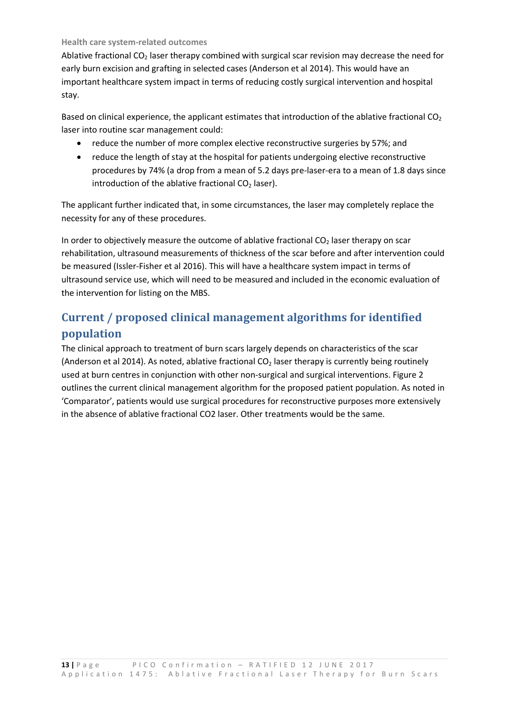#### **Health care system-related outcomes**

Ablative fractional  $CO<sub>2</sub>$  laser therapy combined with surgical scar revision may decrease the need for early burn excision and grafting in selected cases (Anderson et al 2014). This would have an important healthcare system impact in terms of reducing costly surgical intervention and hospital stay.

Based on clinical experience, the applicant estimates that introduction of the ablative fractional  $CO<sub>2</sub>$ laser into routine scar management could:

- reduce the number of more complex elective reconstructive surgeries by 57%; and
- reduce the length of stay at the hospital for patients undergoing elective reconstructive procedures by 74% (a drop from a mean of 5.2 days pre-laser-era to a mean of 1.8 days since introduction of the ablative fractional  $CO<sub>2</sub>$  laser).

The applicant further indicated that, in some circumstances, the laser may completely replace the necessity for any of these procedures.

In order to objectively measure the outcome of ablative fractional  $CO<sub>2</sub>$  laser therapy on scar rehabilitation, ultrasound measurements of thickness of the scar before and after intervention could be measured (Issler-Fisher et al 2016). This will have a healthcare system impact in terms of ultrasound service use, which will need to be measured and included in the economic evaluation of the intervention for listing on the MBS.

## **Current / proposed clinical management algorithms for identified population**

The clinical approach to treatment of burn scars largely depends on characteristics of the scar (Anderson et al 2014). As noted, ablative fractional  $CO<sub>2</sub>$  laser therapy is currently being routinely used at burn centres in conjunction with other non-surgical and surgical interventions. Figure 2 outlines the current clinical management algorithm for the proposed patient population. As noted in 'Comparator', patients would use surgical procedures for reconstructive purposes more extensively in the absence of ablative fractional CO2 laser. Other treatments would be the same.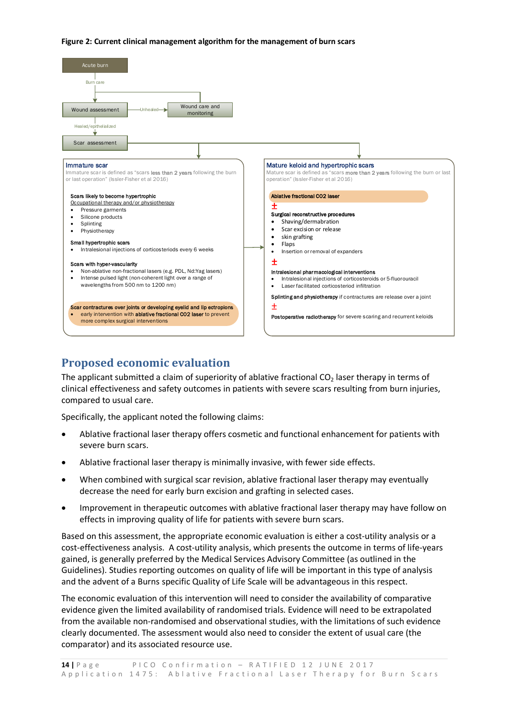#### **Figure 2: Current clinical management algorithm for the management of burn scars**



## **Proposed economic evaluation**

The applicant submitted a claim of superiority of ablative fractional  $CO<sub>2</sub>$  laser therapy in terms of clinical effectiveness and safety outcomes in patients with severe scars resulting from burn injuries, compared to usual care.

Specifically, the applicant noted the following claims:

- Ablative fractional laser therapy offers cosmetic and functional enhancement for patients with severe burn scars.
- Ablative fractional laser therapy is minimally invasive, with fewer side effects.
- When combined with surgical scar revision, ablative fractional laser therapy may eventually decrease the need for early burn excision and grafting in selected cases.
- Improvement in therapeutic outcomes with ablative fractional laser therapy may have follow on effects in improving quality of life for patients with severe burn scars.

Based on this assessment, the appropriate economic evaluation is either a cost-utility analysis or a cost-effectiveness analysis. A cost-utility analysis, which presents the outcome in terms of life-years gained, is generally preferred by the Medical Services Advisory Committee (as outlined in the Guidelines). Studies reporting outcomes on quality of life will be important in this type of analysis and the advent of a Burns specific Quality of Life Scale will be advantageous in this respect.

The economic evaluation of this intervention will need to consider the availability of comparative evidence given the limited availability of randomised trials. Evidence will need to be extrapolated from the available non-randomised and observational studies, with the limitations of such evidence clearly documented. The assessment would also need to consider the extent of usual care (the comparator) and its associated resource use.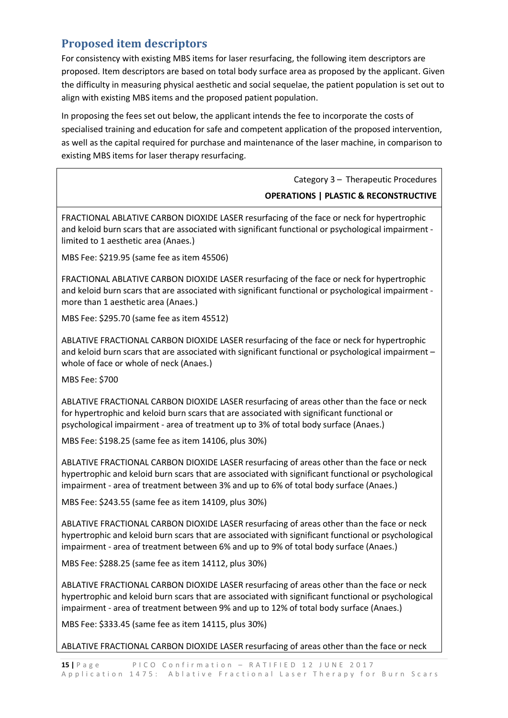## **Proposed item descriptors**

For consistency with existing MBS items for laser resurfacing, the following item descriptors are proposed. Item descriptors are based on total body surface area as proposed by the applicant. Given the difficulty in measuring physical aesthetic and social sequelae, the patient population is set out to align with existing MBS items and the proposed patient population.

In proposing the fees set out below, the applicant intends the fee to incorporate the costs of specialised training and education for safe and competent application of the proposed intervention, as well as the capital required for purchase and maintenance of the laser machine, in comparison to existing MBS items for laser therapy resurfacing.

Category 3 – Therapeutic Procedures

#### **OPERATIONS | PLASTIC & RECONSTRUCTIVE**

FRACTIONAL ABLATIVE CARBON DIOXIDE LASER resurfacing of the face or neck for hypertrophic and keloid burn scars that are associated with significant functional or psychological impairment limited to 1 aesthetic area (Anaes.)

MBS Fee: \$219.95 (same fee as item 45506)

FRACTIONAL ABLATIVE CARBON DIOXIDE LASER resurfacing of the face or neck for hypertrophic and keloid burn scars that are associated with significant functional or psychological impairment more than 1 aesthetic area (Anaes.)

MBS Fee: \$295.70 (same fee as item 45512)

ABLATIVE FRACTIONAL CARBON DIOXIDE LASER resurfacing of the face or neck for hypertrophic and keloid burn scars that are associated with significant functional or psychological impairment – whole of face or whole of neck (Anaes.)

MBS Fee: \$700

ABLATIVE FRACTIONAL CARBON DIOXIDE LASER resurfacing of areas other than the face or neck for hypertrophic and keloid burn scars that are associated with significant functional or psychological impairment - area of treatment up to 3% of total body surface (Anaes.)

MBS Fee: \$198.25 (same fee as item 14106, plus 30%)

ABLATIVE FRACTIONAL CARBON DIOXIDE LASER resurfacing of areas other than the face or neck hypertrophic and keloid burn scars that are associated with significant functional or psychological impairment - area of treatment between 3% and up to 6% of total body surface (Anaes.)

MBS Fee: \$243.55 (same fee as item 14109, plus 30%)

ABLATIVE FRACTIONAL CARBON DIOXIDE LASER resurfacing of areas other than the face or neck hypertrophic and keloid burn scars that are associated with significant functional or psychological impairment - area of treatment between 6% and up to 9% of total body surface (Anaes.)

MBS Fee: \$288.25 (same fee as item 14112, plus 30%)

ABLATIVE FRACTIONAL CARBON DIOXIDE LASER resurfacing of areas other than the face or neck hypertrophic and keloid burn scars that are associated with significant functional or psychological impairment - area of treatment between 9% and up to 12% of total body surface (Anaes.)

MBS Fee: \$333.45 (same fee as item 14115, plus 30%)

ABLATIVE FRACTIONAL CARBON DIOXIDE LASER resurfacing of areas other than the face or neck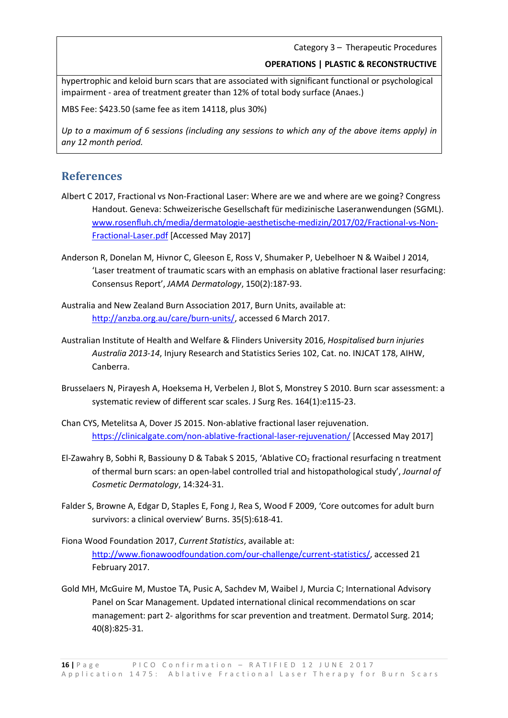Category 3 – Therapeutic Procedures

#### **OPERATIONS | PLASTIC & RECONSTRUCTIVE**

hypertrophic and keloid burn scars that are associated with significant functional or psychological impairment - area of treatment greater than 12% of total body surface (Anaes.)

MBS Fee: \$423.50 (same fee as item 14118, plus 30%)

*Up to a maximum of 6 sessions (including any sessions to which any of the above items apply) in any 12 month period.* 

#### **References**

- Albert C 2017, Fractional vs Non-Fractional Laser: Where are we and where are we going? Congress Handout. Geneva: Schweizerische Gesellschaft für medizinische Laseranwendungen (SGML). www.rosenfluh.ch/media/dermatologie-aesthetische-medizin/2017/02/Fractional-vs-Non-Fractional-Laser.pdf [Accessed May 2017]
- Anderson R, Donelan M, Hivnor C, Gleeson E, Ross V, Shumaker P, Uebelhoer N & Waibel J 2014, 'Laser treatment of traumatic scars with an emphasis on ablative fractional laser resurfacing: Consensus Report', *JAMA Dermatology*, 150(2):187-93.
- Australia and New Zealand Burn Association 2017, Burn Units, available at: http://anzba.org.au/care/burn-units/, accessed 6 March 2017.
- Australian Institute of Health and Welfare & Flinders University 2016, *Hospitalised burn injuries Australia 2013-14*, Injury Research and Statistics Series 102, Cat. no. INJCAT 178, AIHW, Canberra.
- Brusselaers N, Pirayesh A, Hoeksema H, Verbelen J, Blot S, Monstrey S 2010. Burn scar assessment: a systematic review of different scar scales. J Surg Res. 164(1):e115-23.
- Chan CYS, Metelitsa A, Dover JS 2015. Non-ablative fractional laser rejuvenation. https://clinicalgate.com/non-ablative-fractional-laser-rejuvenation/ [Accessed May 2017]
- El-Zawahry B, Sobhi R, Bassiouny D & Tabak S 2015, 'Ablative CO<sub>2</sub> fractional resurfacing n treatment of thermal burn scars: an open-label controlled trial and histopathological study', *Journal of Cosmetic Dermatology*, 14:324-31.
- Falder S, Browne A, Edgar D, Staples E, Fong J, Rea S, Wood F 2009, 'Core outcomes for adult burn survivors: a clinical overview' Burns. 35(5):618-41.
- Fiona Wood Foundation 2017, *Current Statistics*, available at: http://www.fionawoodfoundation.com/our-challenge/current-statistics/, accessed 21 February 2017.
- Gold MH, McGuire M, Mustoe TA, Pusic A, Sachdev M, Waibel J, Murcia C; International Advisory Panel on Scar Management. Updated international clinical recommendations on scar management: part 2- algorithms for scar prevention and treatment. Dermatol Surg. 2014; 40(8):825-31.